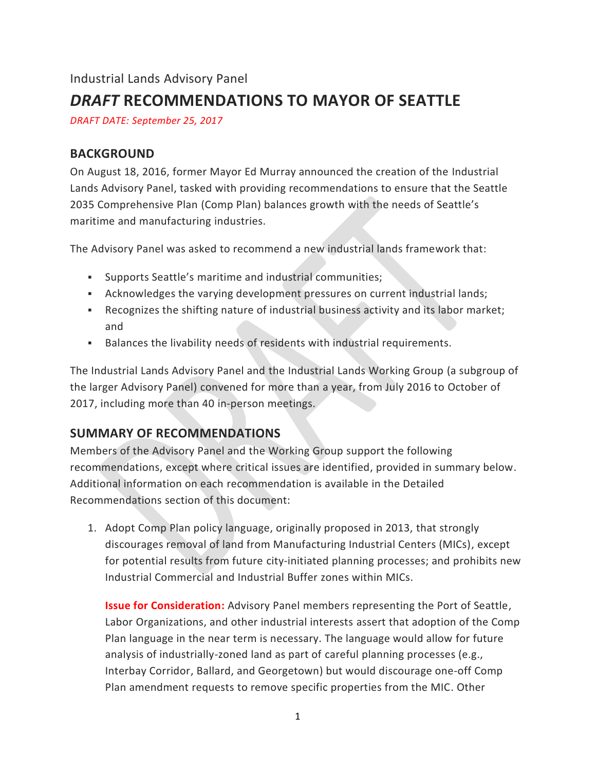# Industrial Lands Advisory Panel *DRAFT* **RECOMMENDATIONS TO MAYOR OF SEATTLE**

*DRAFT DATE: September 25, 2017*

#### **BACKGROUND**

On August 18, 2016, former Mayor Ed Murray announced the creation of the Industrial Lands Advisory Panel, tasked with providing recommendations to ensure that the Seattle 2035 Comprehensive Plan (Comp Plan) balances growth with the needs of Seattle's maritime and manufacturing industries.

The Advisory Panel was asked to recommend a new industrial lands framework that:

- Supports Seattle's maritime and industrial communities;
- **•** Acknowledges the varying development pressures on current industrial lands;
- Recognizes the shifting nature of industrial business activity and its labor market; and
- Balances the livability needs of residents with industrial requirements.

The Industrial Lands Advisory Panel and the Industrial Lands Working Group (a subgroup of the larger Advisory Panel) convened for more than a year, from July 2016 to October of 2017, including more than 40 in-person meetings.

#### **SUMMARY OF RECOMMENDATIONS**

Members of the Advisory Panel and the Working Group support the following recommendations, except where critical issues are identified, provided in summary below. Additional information on each recommendation is available in the Detailed Recommendations section of this document:

1. Adopt Comp Plan policy language, originally proposed in 2013, that strongly discourages removal of land from Manufacturing Industrial Centers (MICs), except for potential results from future city-initiated planning processes; and prohibits new Industrial Commercial and Industrial Buffer zones within MICs.

**Issue for Consideration:** Advisory Panel members representing the Port of Seattle, Labor Organizations, and other industrial interests assert that adoption of the Comp Plan language in the near term is necessary. The language would allow for future analysis of industrially-zoned land as part of careful planning processes (e.g., Interbay Corridor, Ballard, and Georgetown) but would discourage one-off Comp Plan amendment requests to remove specific properties from the MIC. Other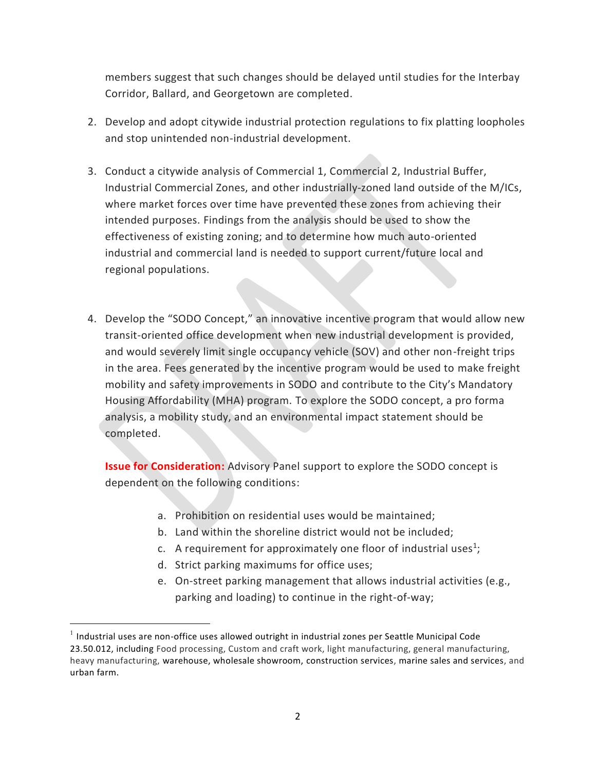members suggest that such changes should be delayed until studies for the Interbay Corridor, Ballard, and Georgetown are completed.

- 2. Develop and adopt citywide industrial protection regulations to fix platting loopholes and stop unintended non-industrial development.
- 3. Conduct a citywide analysis of Commercial 1, Commercial 2, Industrial Buffer, Industrial Commercial Zones, and other industrially-zoned land outside of the M/ICs, where market forces over time have prevented these zones from achieving their intended purposes. Findings from the analysis should be used to show the effectiveness of existing zoning; and to determine how much auto-oriented industrial and commercial land is needed to support current/future local and regional populations.
- 4. Develop the "SODO Concept," an innovative incentive program that would allow new transit-oriented office development when new industrial development is provided, and would severely limit single occupancy vehicle (SOV) and other non-freight trips in the area. Fees generated by the incentive program would be used to make freight mobility and safety improvements in SODO and contribute to the City's Mandatory Housing Affordability (MHA) program. To explore the SODO concept, a pro forma analysis, a mobility study, and an environmental impact statement should be completed.

**Issue for Consideration:** Advisory Panel support to explore the SODO concept is dependent on the following conditions:

- a. Prohibition on residential uses would be maintained;
- b. Land within the shoreline district would not be included;
- c. A requirement for approximately one floor of industrial uses<sup>1</sup>;
- d. Strict parking maximums for office uses;
- e. On-street parking management that allows industrial activities (e.g., parking and loading) to continue in the right-of-way;

 $<sup>1</sup>$  Industrial uses are non-office uses allowed outright in industrial zones per Seattle Municipal Code</sup> 23.50.012, including Food processing, Custom and craft work, light manufacturing, general manufacturing, heavy manufacturing, warehouse, wholesale showroom, construction services, marine sales and services, and urban farm.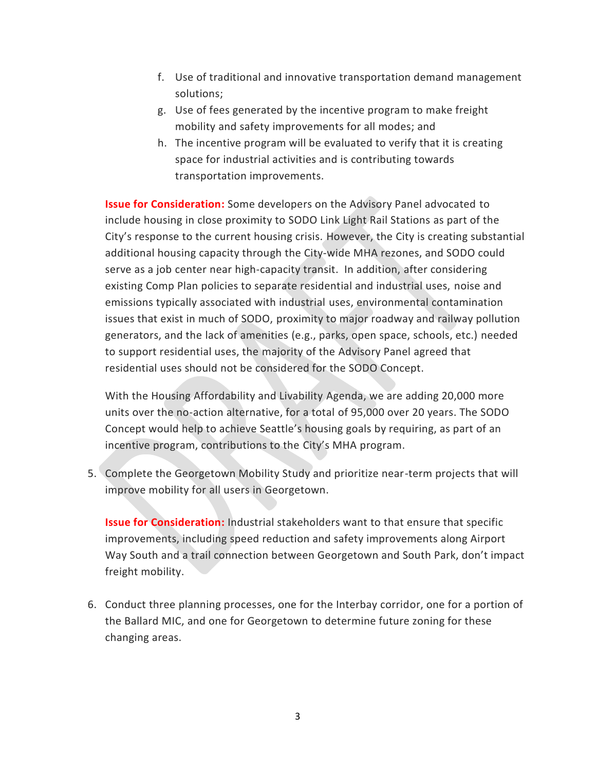- f. Use of traditional and innovative transportation demand management solutions;
- g. Use of fees generated by the incentive program to make freight mobility and safety improvements for all modes; and
- h. The incentive program will be evaluated to verify that it is creating space for industrial activities and is contributing towards transportation improvements.

**Issue for Consideration:** Some developers on the Advisory Panel advocated to include housing in close proximity to SODO Link Light Rail Stations as part of the City's response to the current housing crisis. However, the City is creating substantial additional housing capacity through the City-wide MHA rezones, and SODO could serve as a job center near high-capacity transit. In addition, after considering existing Comp Plan policies to separate residential and industrial uses, noise and emissions typically associated with industrial uses, environmental contamination issues that exist in much of SODO, proximity to major roadway and railway pollution generators, and the lack of amenities (e.g., parks, open space, schools, etc.) needed to support residential uses, the majority of the Advisory Panel agreed that residential uses should not be considered for the SODO Concept.

With the Housing Affordability and Livability Agenda, we are adding 20,000 more units over the no-action alternative, for a total of 95,000 over 20 years. The SODO Concept would help to achieve Seattle's housing goals by requiring, as part of an incentive program, contributions to the City's MHA program.

5. Complete the Georgetown Mobility Study and prioritize near-term projects that will improve mobility for all users in Georgetown.

**Issue for Consideration:** Industrial stakeholders want to that ensure that specific improvements, including speed reduction and safety improvements along Airport Way South and a trail connection between Georgetown and South Park, don't impact freight mobility.

6. Conduct three planning processes, one for the Interbay corridor, one for a portion of the Ballard MIC, and one for Georgetown to determine future zoning for these changing areas.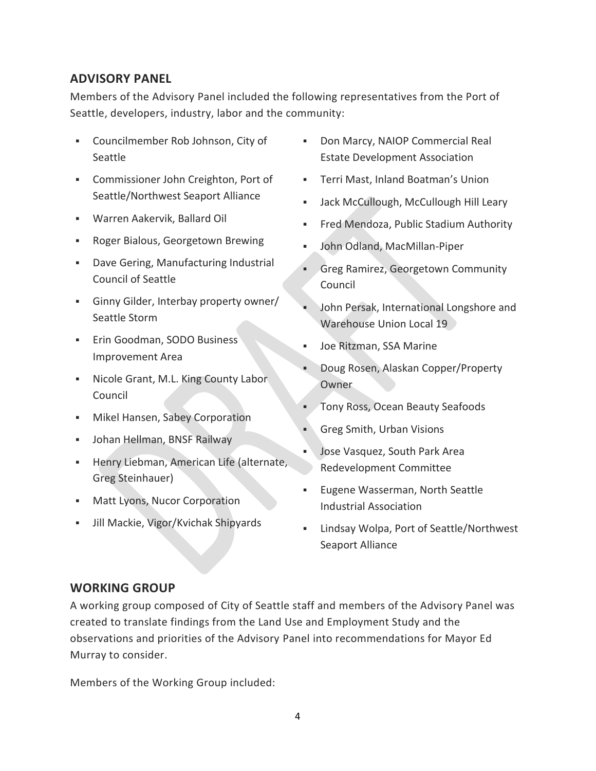#### **ADVISORY PANEL**

Members of the Advisory Panel included the following representatives from the Port of Seattle, developers, industry, labor and the community:

- Councilmember Rob Johnson, City of Seattle
- Commissioner John Creighton, Port of Seattle/Northwest Seaport Alliance
- Warren Aakervik, Ballard Oil
- Roger Bialous, Georgetown Brewing
- Dave Gering, Manufacturing Industrial Council of Seattle
- Ginny Gilder, Interbay property owner/ Seattle Storm
- **Erin Goodman, SODO Business** Improvement Area
- Nicole Grant, M.L. King County Labor Council
- **■** Mikel Hansen, Sabey Corporation
- **·** Johan Hellman, BNSF Railway
- **EXECT:** Henry Liebman, American Life (alternate, Greg Steinhauer)
- **■** Matt Lyons, Nucor Corporation
- Jill Mackie, Vigor/Kvichak Shipyards
- Don Marcy, NAIOP Commercial Real Estate Development Association
- Terri Mast, Inland Boatman's Union
- Jack McCullough, McCullough Hill Leary
- Fred Mendoza, Public Stadium Authority
- John Odland, MacMillan-Piper
- **Greg Ramirez, Georgetown Community** Council
- John Persak, International Longshore and Warehouse Union Local 19
- Joe Ritzman, SSA Marine
- Doug Rosen, Alaskan Copper/Property **Owner**
- **Tony Ross, Ocean Beauty Seafoods**
- Greg Smith, Urban Visions
- Jose Vasquez, South Park Area Redevelopment Committee
- Eugene Wasserman, North Seattle Industrial Association
- Lindsay Wolpa, Port of Seattle/Northwest Seaport Alliance

#### **WORKING GROUP**

A working group composed of City of Seattle staff and members of the Advisory Panel was created to translate findings from the Land Use and Employment Study and the observations and priorities of the Advisory Panel into recommendations for Mayor Ed Murray to consider.

Members of the Working Group included: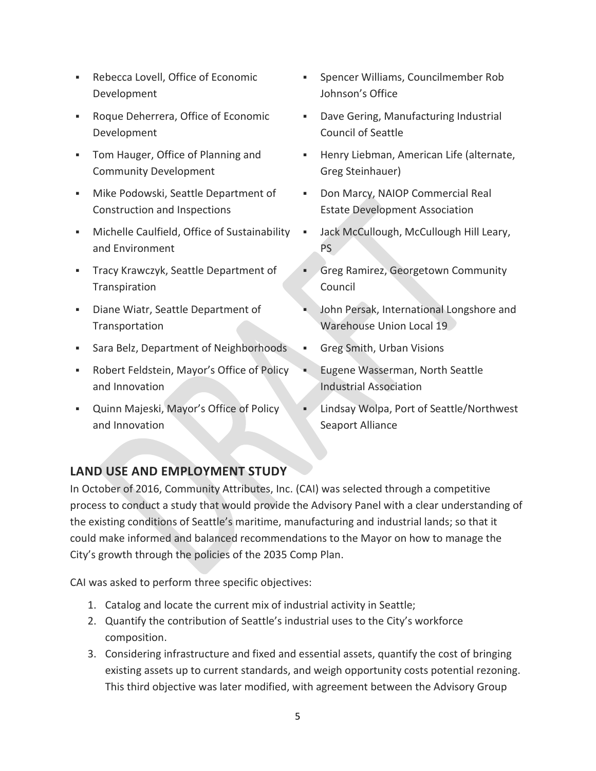- Rebecca Lovell, Office of Economic Development
- Roque Deherrera, Office of Economic Development
- Tom Hauger, Office of Planning and Community Development
- Mike Podowski, Seattle Department of Construction and Inspections
- Michelle Caulfield, Office of Sustainability and Environment
- **EXEC** Tracy Krawczyk, Seattle Department of Transpiration
- Diane Wiatr, Seattle Department of Transportation
- **EXE** Sara Belz, Department of Neighborhoods
- Robert Feldstein, Mayor's Office of Policy and Innovation
- Quinn Majeski, Mayor's Office of Policy and Innovation
- Spencer Williams, Councilmember Rob Johnson's Office
- Dave Gering, Manufacturing Industrial Council of Seattle
- Henry Liebman, American Life (alternate, Greg Steinhauer)
- Don Marcy, NAIOP Commercial Real Estate Development Association
- Jack McCullough, McCullough Hill Leary, PS
- Greg Ramirez, Georgetown Community Council
- John Persak, International Longshore and Warehouse Union Local 19
- Greg Smith, Urban Visions
- Eugene Wasserman, North Seattle Industrial Association
- Lindsay Wolpa, Port of Seattle/Northwest Seaport Alliance

#### **LAND USE AND EMPLOYMENT STUDY**

In October of 2016, Community Attributes, Inc. (CAI) was selected through a competitive process to conduct a study that would provide the Advisory Panel with a clear understanding of the existing conditions of Seattle's maritime, manufacturing and industrial lands; so that it could make informed and balanced recommendations to the Mayor on how to manage the City's growth through the policies of the 2035 Comp Plan.

CAI was asked to perform three specific objectives:

- 1. Catalog and locate the current mix of industrial activity in Seattle;
- 2. Quantify the contribution of Seattle's industrial uses to the City's workforce composition.
- 3. Considering infrastructure and fixed and essential assets, quantify the cost of bringing existing assets up to current standards, and weigh opportunity costs potential rezoning. This third objective was later modified, with agreement between the Advisory Group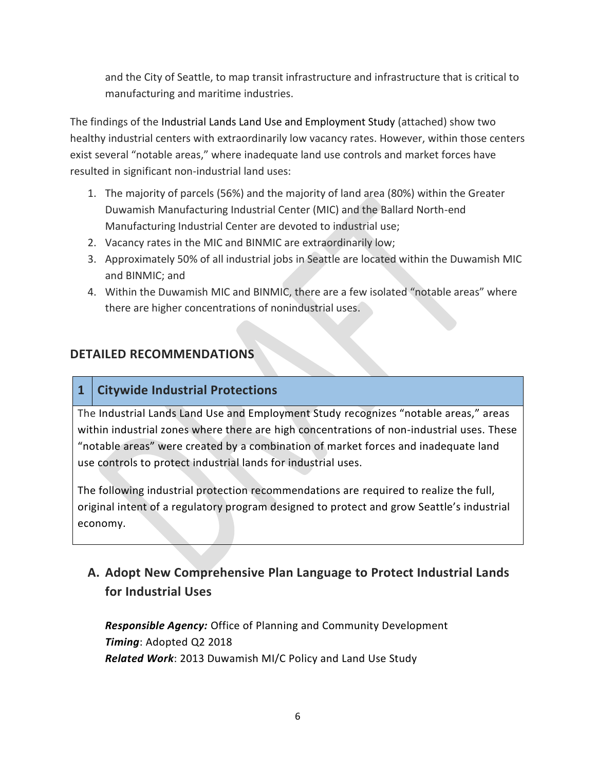and the City of Seattle, to map transit infrastructure and infrastructure that is critical to manufacturing and maritime industries.

The findings of the Industrial Lands Land Use and Employment Study (attached) show two healthy industrial centers with extraordinarily low vacancy rates. However, within those centers exist several "notable areas," where inadequate land use controls and market forces have resulted in significant non-industrial land uses:

- 1. The majority of parcels (56%) and the majority of land area (80%) within the Greater Duwamish Manufacturing Industrial Center (MIC) and the Ballard North-end Manufacturing Industrial Center are devoted to industrial use;
- 2. Vacancy rates in the MIC and BINMIC are extraordinarily low;
- 3. Approximately 50% of all industrial jobs in Seattle are located within the Duwamish MIC and BINMIC; and
- 4. Within the Duwamish MIC and BINMIC, there are a few isolated "notable areas" where there are higher concentrations of nonindustrial uses.

### **DETAILED RECOMMENDATIONS**

### **1 Citywide Industrial Protections**

The Industrial Lands Land Use and Employment Study recognizes "notable areas," areas within industrial zones where there are high concentrations of non-industrial uses. These "notable areas" were created by a combination of market forces and inadequate land use controls to protect industrial lands for industrial uses.

The following industrial protection recommendations are required to realize the full, original intent of a regulatory program designed to protect and grow Seattle's industrial economy.

### **A. Adopt New Comprehensive Plan Language to Protect Industrial Lands for Industrial Uses**

*Responsible Agency:* Office of Planning and Community Development *Timing*: Adopted Q2 2018 *Related Work*: 2013 Duwamish MI/C Policy and Land Use Study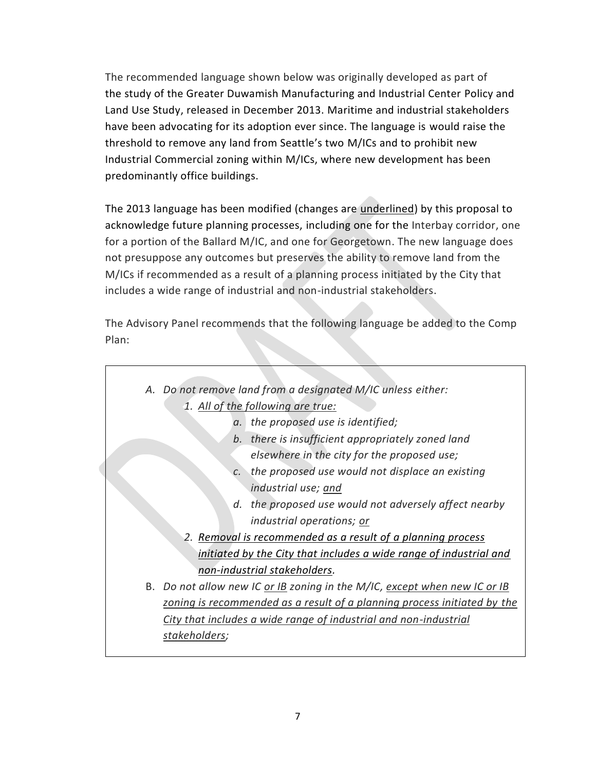The recommended language shown below was originally developed as part of the study of the Greater Duwamish Manufacturing and Industrial Center Policy and Land Use Study, released in December 2013. Maritime and industrial stakeholders have been advocating for its adoption ever since. The language is would raise the threshold to remove any land from Seattle's two M/ICs and to prohibit new Industrial Commercial zoning within M/ICs, where new development has been predominantly office buildings.

The 2013 language has been modified (changes are underlined) by this proposal to acknowledge future planning processes, including one for the Interbay corridor, one for a portion of the Ballard M/IC, and one for Georgetown. The new language does not presuppose any outcomes but preserves the ability to remove land from the M/ICs if recommended as a result of a planning process initiated by the City that includes a wide range of industrial and non-industrial stakeholders.

The Advisory Panel recommends that the following language be added to the Comp Plan:

| A. Do not remove land from a designated M/IC unless either:               |                                                       |
|---------------------------------------------------------------------------|-------------------------------------------------------|
| 1. All of the following are true:                                         |                                                       |
|                                                                           | a. the proposed use is identified;                    |
| b.                                                                        | there is insufficient appropriately zoned land        |
|                                                                           | elsewhere in the city for the proposed use;           |
| $\mathcal{C}$ .                                                           | the proposed use would not displace an existing       |
|                                                                           | industrial use; and                                   |
|                                                                           | d. the proposed use would not adversely affect nearby |
|                                                                           | industrial operations; or                             |
| 2. Removal is recommended as a result of a planning process               |                                                       |
| initiated by the City that includes a wide range of industrial and        |                                                       |
| non-industrial stakeholders.                                              |                                                       |
| B. Do not allow new IC or IB zoning in the M/IC, except when new IC or IB |                                                       |
| zoning is recommended as a result of a planning process initiated by the  |                                                       |
| City that includes a wide range of industrial and non-industrial          |                                                       |
| stakeholders;                                                             |                                                       |
|                                                                           |                                                       |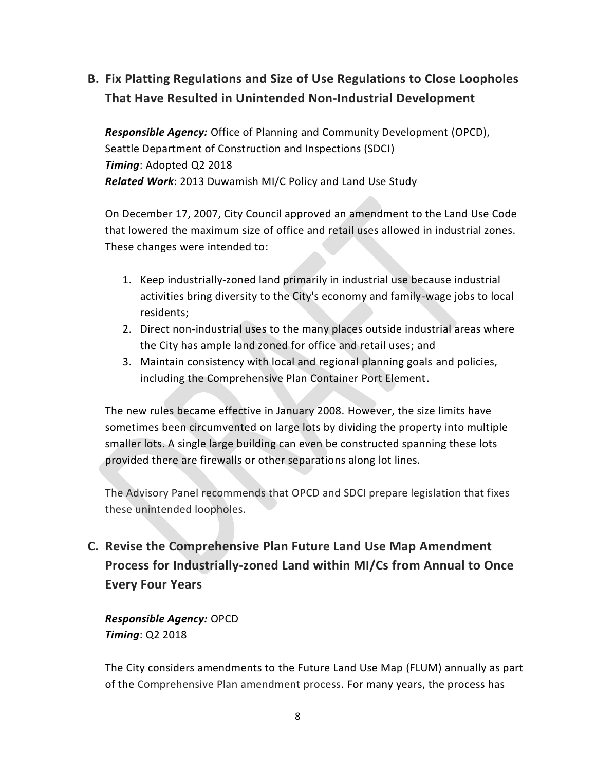# **B. Fix Platting Regulations and Size of Use Regulations to Close Loopholes That Have Resulted in Unintended Non-Industrial Development**

*Responsible Agency:* Office of Planning and Community Development (OPCD), Seattle Department of Construction and Inspections (SDCI) *Timing*: Adopted Q2 2018 *Related Work*: 2013 Duwamish MI/C Policy and Land Use Study

On December 17, 2007, City Council approved an amendment to the Land Use Code that lowered the maximum size of office and retail uses allowed in industrial zones. These changes were intended to:

- 1. Keep industrially-zoned land primarily in industrial use because industrial activities bring diversity to the City's economy and family-wage jobs to local residents;
- 2. Direct non-industrial uses to the many places outside industrial areas where the City has ample land zoned for office and retail uses; and
- 3. Maintain consistency with local and regional planning goals and policies, including the Comprehensive Plan Container Port Element.

The new rules became effective in January 2008. However, the size limits have sometimes been circumvented on large lots by dividing the property into multiple smaller lots. A single large building can even be constructed spanning these lots provided there are firewalls or other separations along lot lines.

The Advisory Panel recommends that OPCD and SDCI prepare legislation that fixes these unintended loopholes.

**C. Revise the Comprehensive Plan Future Land Use Map Amendment Process for Industrially-zoned Land within MI/Cs from Annual to Once Every Four Years**

*Responsible Agency:* OPCD *Timing*: Q2 2018

The City considers amendments to the Future Land Use Map (FLUM) annually as part of the Comprehensive Plan amendment process. For many years, the process has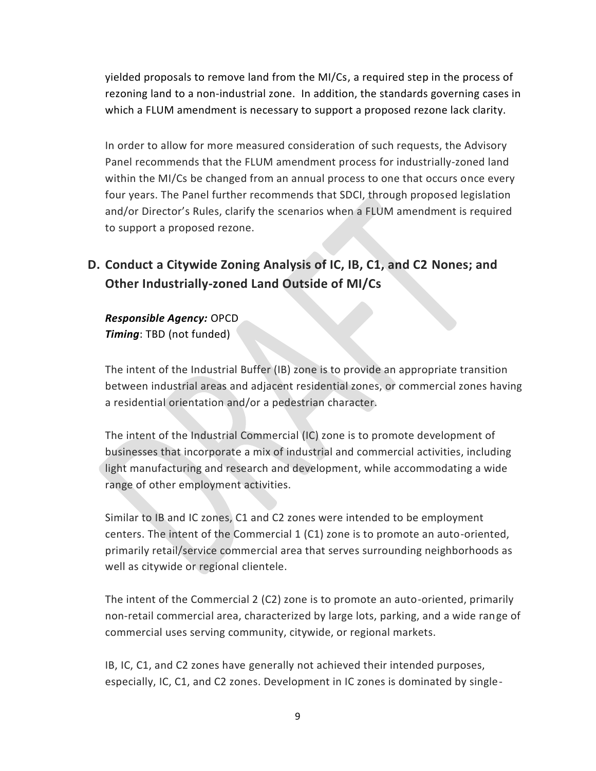yielded proposals to remove land from the MI/Cs, a required step in the process of rezoning land to a non-industrial zone. In addition, the standards governing cases in which a FLUM amendment is necessary to support a proposed rezone lack clarity.

In order to allow for more measured consideration of such requests, the Advisory Panel recommends that the FLUM amendment process for industrially-zoned land within the MI/Cs be changed from an annual process to one that occurs once every four years. The Panel further recommends that SDCI, through proposed legislation and/or Director's Rules, clarify the scenarios when a FLUM amendment is required to support a proposed rezone.

## **D. Conduct a Citywide Zoning Analysis of IC, IB, C1, and C2 Nones; and Other Industrially-zoned Land Outside of MI/Cs**

*Responsible Agency:* OPCD *Timing*: TBD (not funded)

The intent of the Industrial Buffer (IB) zone is to provide an appropriate transition between industrial areas and adjacent residential zones, or commercial zones having a residential orientation and/or a pedestrian character.

The intent of the Industrial Commercial (IC) zone is to promote development of businesses that incorporate a mix of industrial and commercial activities, including light manufacturing and research and development, while accommodating a wide range of other employment activities.

Similar to IB and IC zones, C1 and C2 zones were intended to be employment centers. The intent of the Commercial 1 (C1) zone is to promote an auto-oriented, primarily retail/service commercial area that serves surrounding neighborhoods as well as citywide or regional clientele.

The intent of the Commercial 2 (C2) zone is to promote an auto-oriented, primarily non-retail commercial area, characterized by large lots, parking, and a wide range of commercial uses serving community, citywide, or regional markets.

IB, IC, C1, and C2 zones have generally not achieved their intended purposes, especially, IC, C1, and C2 zones. Development in IC zones is dominated by single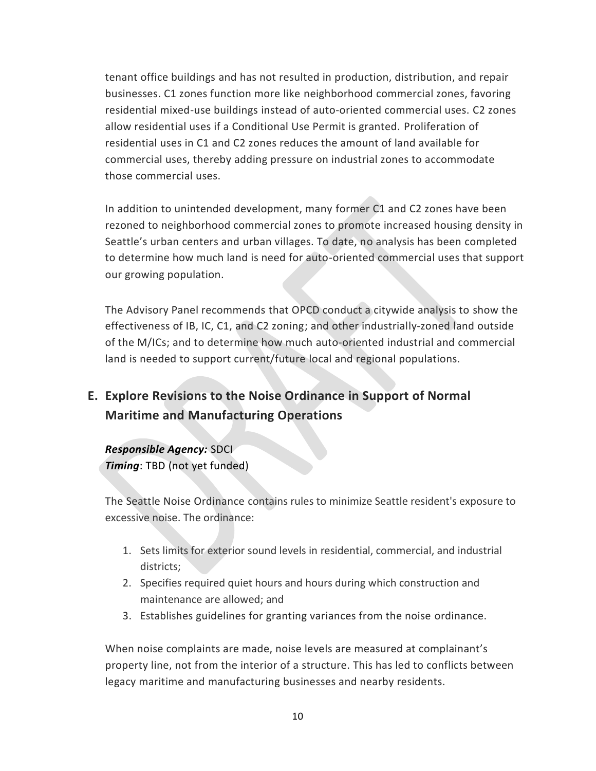tenant office buildings and has not resulted in production, distribution, and repair businesses. C1 zones function more like neighborhood commercial zones, favoring residential mixed-use buildings instead of auto-oriented commercial uses. C2 zones allow residential uses if a Conditional Use Permit is granted. Proliferation of residential uses in C1 and C2 zones reduces the amount of land available for commercial uses, thereby adding pressure on industrial zones to accommodate those commercial uses.

In addition to unintended development, many former C1 and C2 zones have been rezoned to neighborhood commercial zones to promote increased housing density in Seattle's urban centers and urban villages. To date, no analysis has been completed to determine how much land is need for auto-oriented commercial uses that support our growing population.

The Advisory Panel recommends that OPCD conduct a citywide analysis to show the effectiveness of IB, IC, C1, and C2 zoning; and other industrially-zoned land outside of the M/ICs; and to determine how much auto-oriented industrial and commercial land is needed to support current/future local and regional populations.

## **E. Explore Revisions to the Noise Ordinance in Support of Normal Maritime and Manufacturing Operations**

#### *Responsible Agency:* SDCI

*Timing*: TBD (not yet funded)

The Seattle Noise Ordinance contains rules to minimize Seattle resident's exposure to excessive noise. The ordinance:

- 1. Sets limits for exterior sound levels in residential, commercial, and industrial districts;
- 2. Specifies required quiet hours and hours during which construction and maintenance are allowed; and
- 3. Establishes guidelines for granting variances from the noise ordinance.

When noise complaints are made, noise levels are measured at complainant's property line, not from the interior of a structure. This has led to conflicts between legacy maritime and manufacturing businesses and nearby residents.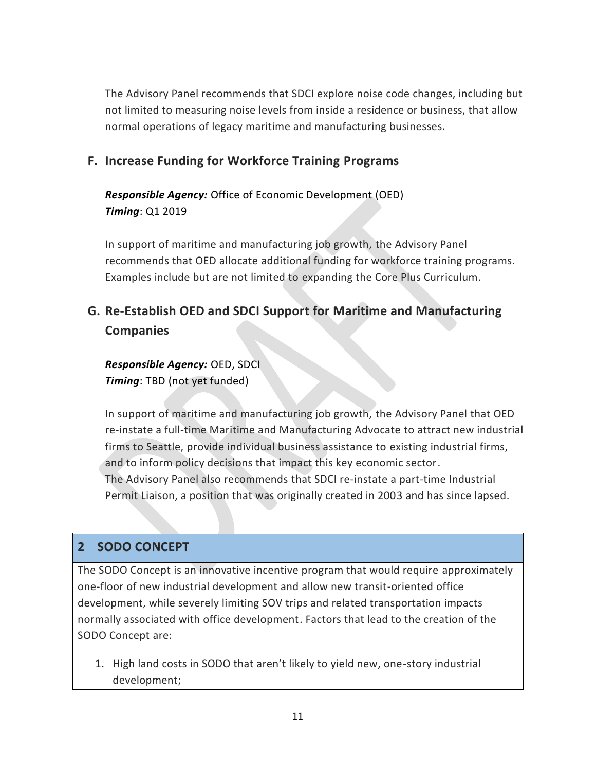The Advisory Panel recommends that SDCI explore noise code changes, including but not limited to measuring noise levels from inside a residence or business, that allow normal operations of legacy maritime and manufacturing businesses.

### **F. Increase Funding for Workforce Training Programs**

*Responsible Agency:* Office of Economic Development (OED) *Timing*: Q1 2019

In support of maritime and manufacturing job growth, the Advisory Panel recommends that OED allocate additional funding for workforce training programs. Examples include but are not limited to expanding the Core Plus Curriculum.

# **G. Re-Establish OED and SDCI Support for Maritime and Manufacturing Companies**

*Responsible Agency:* OED, SDCI *Timing*: TBD (not yet funded)

In support of maritime and manufacturing job growth, the Advisory Panel that OED re-instate a full-time Maritime and Manufacturing Advocate to attract new industrial firms to Seattle, provide individual business assistance to existing industrial firms, and to inform policy decisions that impact this key economic sector. The Advisory Panel also recommends that SDCI re-instate a part-time Industrial Permit Liaison, a position that was originally created in 2003 and has since lapsed.

### **2 SODO CONCEPT**

The SODO Concept is an innovative incentive program that would require approximately one-floor of new industrial development and allow new transit-oriented office development, while severely limiting SOV trips and related transportation impacts normally associated with office development. Factors that lead to the creation of the SODO Concept are:

1. High land costs in SODO that aren't likely to yield new, one-story industrial development;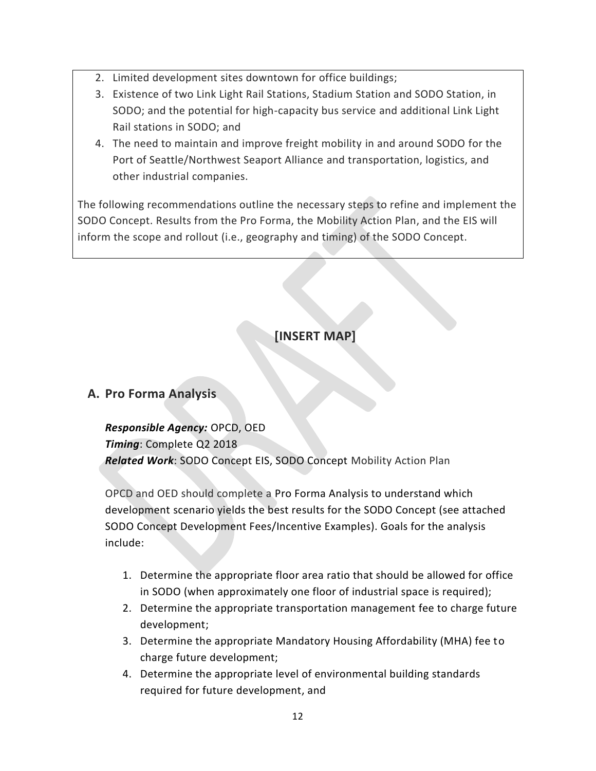- 2. Limited development sites downtown for office buildings;
- 3. Existence of two Link Light Rail Stations, Stadium Station and SODO Station, in SODO; and the potential for high-capacity bus service and additional Link Light Rail stations in SODO; and
- 4. The need to maintain and improve freight mobility in and around SODO for the Port of Seattle/Northwest Seaport Alliance and transportation, logistics, and other industrial companies.

The following recommendations outline the necessary steps to refine and implement the SODO Concept. Results from the Pro Forma, the Mobility Action Plan, and the EIS will inform the scope and rollout (i.e., geography and timing) of the SODO Concept.

## **[INSERT MAP]**

#### **A. Pro Forma Analysis**

*Responsible Agency:* OPCD, OED *Timing*: Complete Q2 2018 *Related Work*: SODO Concept EIS, SODO Concept Mobility Action Plan

OPCD and OED should complete a Pro Forma Analysis to understand which development scenario yields the best results for the SODO Concept (see attached SODO Concept Development Fees/Incentive Examples). Goals for the analysis include:

- 1. Determine the appropriate floor area ratio that should be allowed for office in SODO (when approximately one floor of industrial space is required);
- 2. Determine the appropriate transportation management fee to charge future development;
- 3. Determine the appropriate Mandatory Housing Affordability (MHA) fee to charge future development;
- 4. Determine the appropriate level of environmental building standards required for future development, and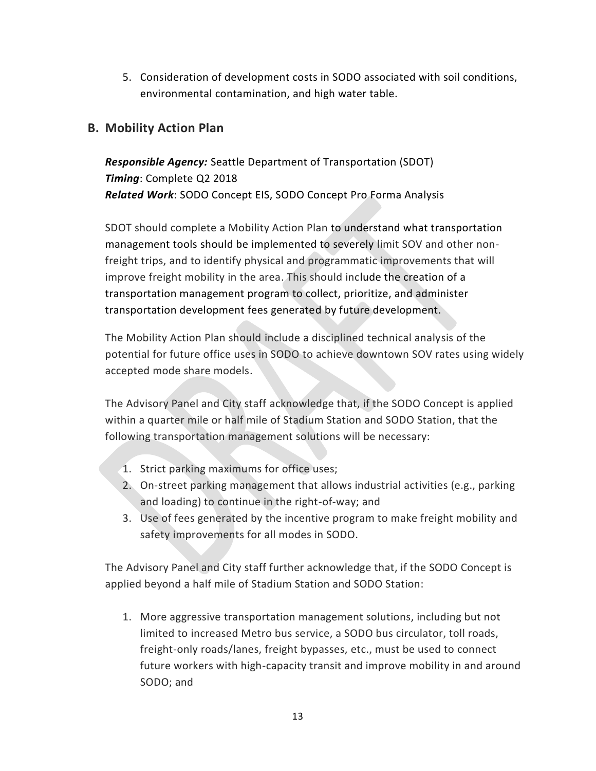5. Consideration of development costs in SODO associated with soil conditions, environmental contamination, and high water table.

#### **B. Mobility Action Plan**

*Responsible Agency:* Seattle Department of Transportation (SDOT) *Timing*: Complete Q2 2018 *Related Work*: SODO Concept EIS, SODO Concept Pro Forma Analysis

SDOT should complete a Mobility Action Plan to understand what transportation management tools should be implemented to severely limit SOV and other nonfreight trips, and to identify physical and programmatic improvements that will improve freight mobility in the area. This should include the creation of a transportation management program to collect, prioritize, and administer transportation development fees generated by future development.

The Mobility Action Plan should include a disciplined technical analysis of the potential for future office uses in SODO to achieve downtown SOV rates using widely accepted mode share models.

The Advisory Panel and City staff acknowledge that, if the SODO Concept is applied within a quarter mile or half mile of Stadium Station and SODO Station, that the following transportation management solutions will be necessary:

- 1. Strict parking maximums for office uses;
- 2. On-street parking management that allows industrial activities (e.g., parking and loading) to continue in the right-of-way; and
- 3. Use of fees generated by the incentive program to make freight mobility and safety improvements for all modes in SODO.

The Advisory Panel and City staff further acknowledge that, if the SODO Concept is applied beyond a half mile of Stadium Station and SODO Station:

1. More aggressive transportation management solutions, including but not limited to increased Metro bus service, a SODO bus circulator, toll roads, freight-only roads/lanes, freight bypasses, etc., must be used to connect future workers with high-capacity transit and improve mobility in and around SODO; and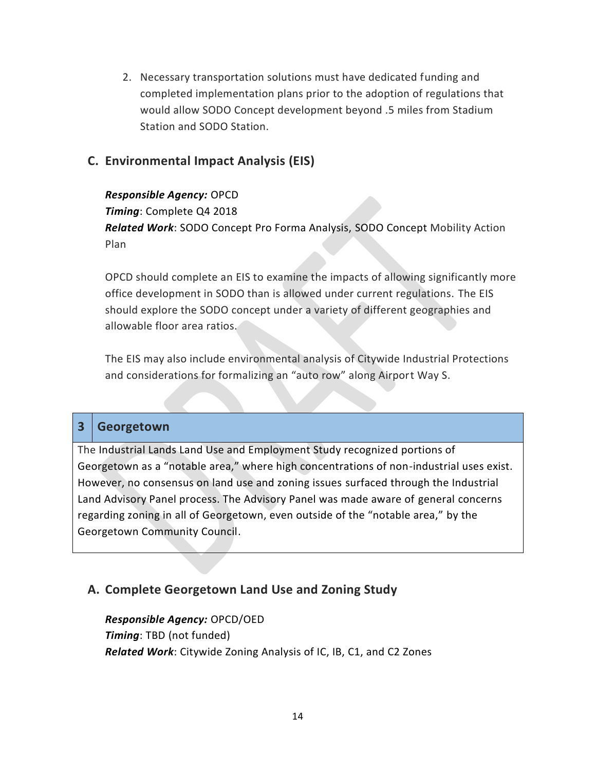2. Necessary transportation solutions must have dedicated funding and completed implementation plans prior to the adoption of regulations that would allow SODO Concept development beyond .5 miles from Stadium Station and SODO Station.

### **C. Environmental Impact Analysis (EIS)**

*Responsible Agency:* OPCD *Timing*: Complete Q4 2018 *Related Work*: SODO Concept Pro Forma Analysis, SODO Concept Mobility Action Plan

OPCD should complete an EIS to examine the impacts of allowing significantly more office development in SODO than is allowed under current regulations. The EIS should explore the SODO concept under a variety of different geographies and allowable floor area ratios.

The EIS may also include environmental analysis of Citywide Industrial Protections and considerations for formalizing an "auto row" along Airport Way S.

#### **3 Georgetown**

The Industrial Lands Land Use and Employment Study recognized portions of Georgetown as a "notable area," where high concentrations of non-industrial uses exist. However, no consensus on land use and zoning issues surfaced through the Industrial Land Advisory Panel process. The Advisory Panel was made aware of general concerns regarding zoning in all of Georgetown, even outside of the "notable area," by the Georgetown Community Council.

#### **A. Complete Georgetown Land Use and Zoning Study**

*Responsible Agency:* OPCD/OED *Timing*: TBD (not funded) *Related Work*: Citywide Zoning Analysis of IC, IB, C1, and C2 Zones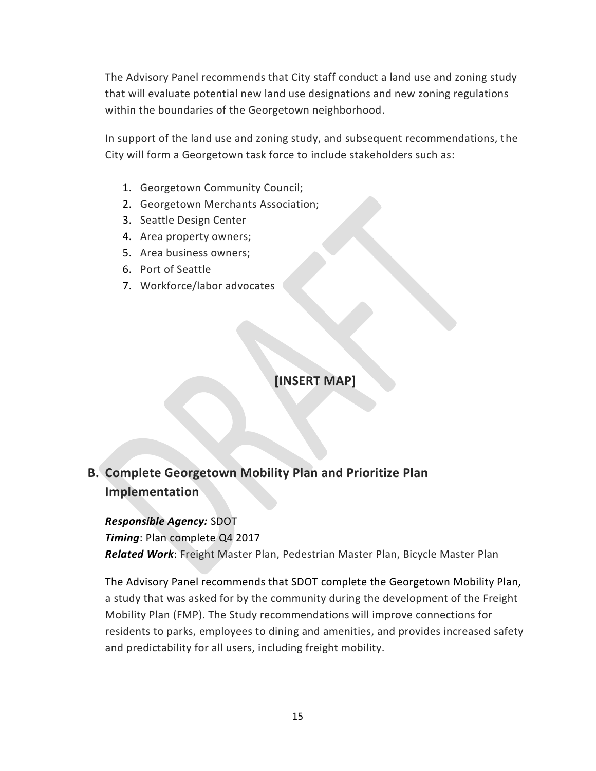The Advisory Panel recommends that City staff conduct a land use and zoning study that will evaluate potential new land use designations and new zoning regulations within the boundaries of the Georgetown neighborhood.

In support of the land use and zoning study, and subsequent recommendations, the City will form a Georgetown task force to include stakeholders such as:

- 1. Georgetown Community Council;
- 2. Georgetown Merchants Association;
- 3. Seattle Design Center
- 4. Area property owners;
- 5. Area business owners;
- 6. Port of Seattle
- 7. Workforce/labor advocates

**[INSERT MAP]**

# **B. Complete Georgetown Mobility Plan and Prioritize Plan Implementation**

*Responsible Agency:* SDOT *Timing*: Plan complete Q4 2017 *Related Work*: Freight Master Plan, Pedestrian Master Plan, Bicycle Master Plan

The Advisory Panel recommends that SDOT complete the Georgetown Mobility Plan, a study that was asked for by the community during the development of the Freight Mobility Plan (FMP). The Study recommendations will improve connections for residents to parks, employees to dining and amenities, and provides increased safety and predictability for all users, including freight mobility.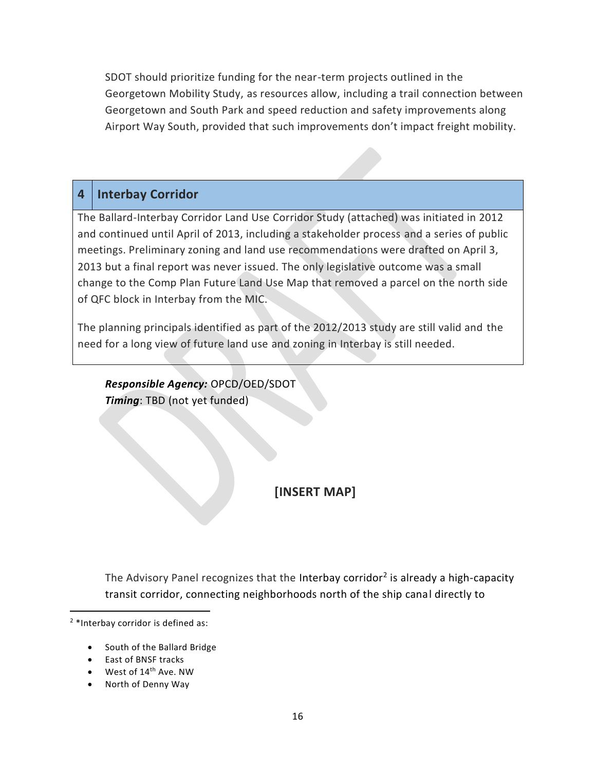SDOT should prioritize funding for the near-term projects outlined in the Georgetown Mobility Study, as resources allow, including a trail connection between Georgetown and South Park and speed reduction and safety improvements along Airport Way South, provided that such improvements don't impact freight mobility.

### **4 Interbay Corridor**

The Ballard-Interbay Corridor Land Use Corridor Study (attached) was initiated in 2012 and continued until April of 2013, including a stakeholder process and a series of public meetings. Preliminary zoning and land use recommendations were drafted on April 3, 2013 but a final report was never issued. The only legislative outcome was a small change to the Comp Plan Future Land Use Map that removed a parcel on the north side of QFC block in Interbay from the MIC.

The planning principals identified as part of the 2012/2013 study are still valid and the need for a long view of future land use and zoning in Interbay is still needed.

*Responsible Agency:* OPCD/OED/SDOT *Timing*: TBD (not yet funded)

**[INSERT MAP]**

The Advisory Panel recognizes that the Interbay corridor<sup>2</sup> is already a high-capacity transit corridor, connecting neighborhoods north of the ship canal directly to

- South of the Ballard Bridge
- East of BNSF tracks
- West of 14<sup>th</sup> Ave. NW
- North of Denny Way

<sup>2</sup> \*Interbay corridor is defined as: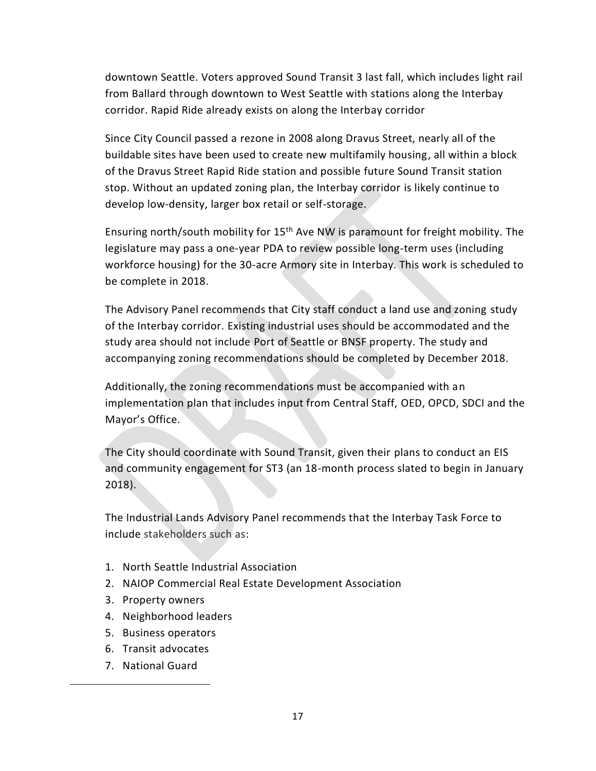downtown Seattle. Voters approved Sound Transit 3 last fall, which includes light rail from Ballard through downtown to West Seattle with stations along the Interbay corridor. Rapid Ride already exists on along the Interbay corridor

Since City Council passed a rezone in 2008 along Dravus Street, nearly all of the buildable sites have been used to create new multifamily housing, all within a block of the Dravus Street Rapid Ride station and possible future Sound Transit station stop. Without an updated zoning plan, the Interbay corridor is likely continue to develop low-density, larger box retail or self-storage.

Ensuring north/south mobility for  $15<sup>th</sup>$  Ave NW is paramount for freight mobility. The legislature may pass a one-year PDA to review possible long-term uses (including workforce housing) for the 30-acre Armory site in Interbay. This work is scheduled to be complete in 2018.

The Advisory Panel recommends that City staff conduct a land use and zoning study of the Interbay corridor. Existing industrial uses should be accommodated and the study area should not include Port of Seattle or BNSF property. The study and accompanying zoning recommendations should be completed by December 2018.

Additionally, the zoning recommendations must be accompanied with an implementation plan that includes input from Central Staff, OED, OPCD, SDCI and the Mayor's Office.

The City should coordinate with Sound Transit, given their plans to conduct an EIS and community engagement for ST3 (an 18-month process slated to begin in January 2018).

The Industrial Lands Advisory Panel recommends that the Interbay Task Force to include stakeholders such as:

- 1. North Seattle Industrial Association
- 2. NAIOP Commercial Real Estate Development Association
- 3. Property owners
- 4. Neighborhood leaders
- 5. Business operators
- 6. Transit advocates
- 7. National Guard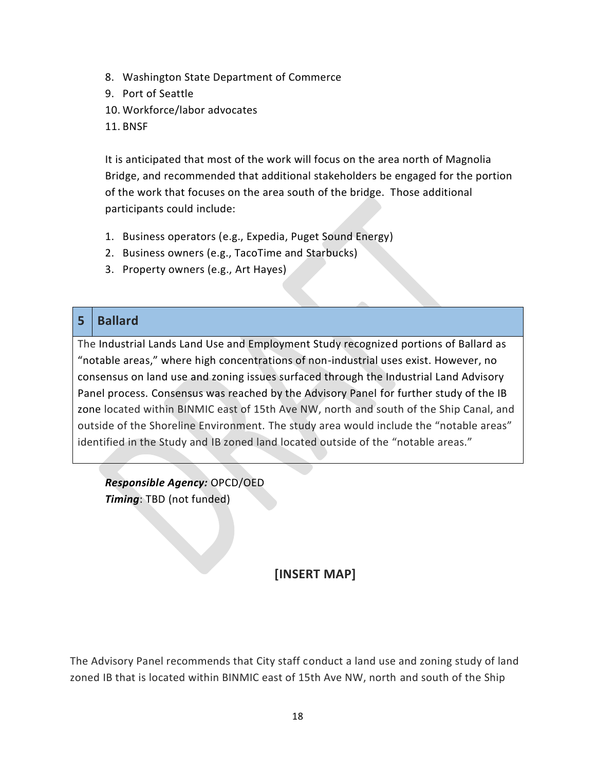- 8. Washington State Department of Commerce
- 9. Port of Seattle
- 10. Workforce/labor advocates
- 11. BNSF

It is anticipated that most of the work will focus on the area north of Magnolia Bridge, and recommended that additional stakeholders be engaged for the portion of the work that focuses on the area south of the bridge. Those additional participants could include:

- 1. Business operators (e.g., Expedia, Puget Sound Energy)
- 2. Business owners (e.g., TacoTime and Starbucks)
- 3. Property owners (e.g., Art Hayes)

### **5 Ballard**

The Industrial Lands Land Use and Employment Study recognized portions of Ballard as "notable areas," where high concentrations of non-industrial uses exist. However, no consensus on land use and zoning issues surfaced through the Industrial Land Advisory Panel process. Consensus was reached by the Advisory Panel for further study of the IB zone located within BINMIC east of 15th Ave NW, north and south of the Ship Canal, and outside of the Shoreline Environment. The study area would include the "notable areas" identified in the Study and IB zoned land located outside of the "notable areas."

*Responsible Agency:* OPCD/OED *Timing*: TBD (not funded)

### **[INSERT MAP]**

The Advisory Panel recommends that City staff conduct a land use and zoning study of land zoned IB that is located within BINMIC east of 15th Ave NW, north and south of the Ship